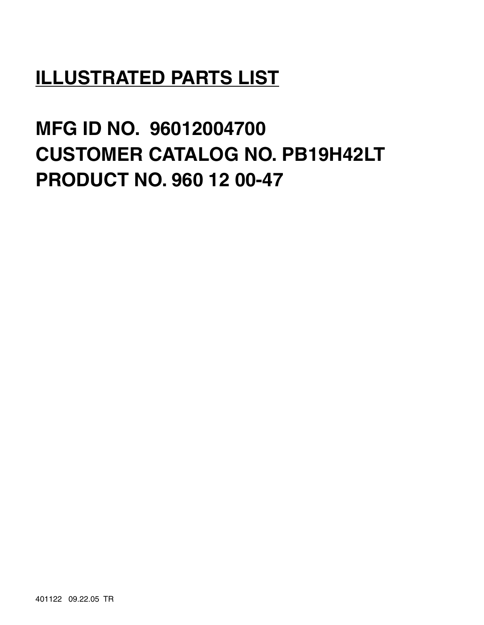# **ILLUSTRATED PARTS LIST**

**MFG ID NO. 96012004700 CUSTOMER CATALOG NO. PB19H42LT PRODUCT NO. 960 12 00-47**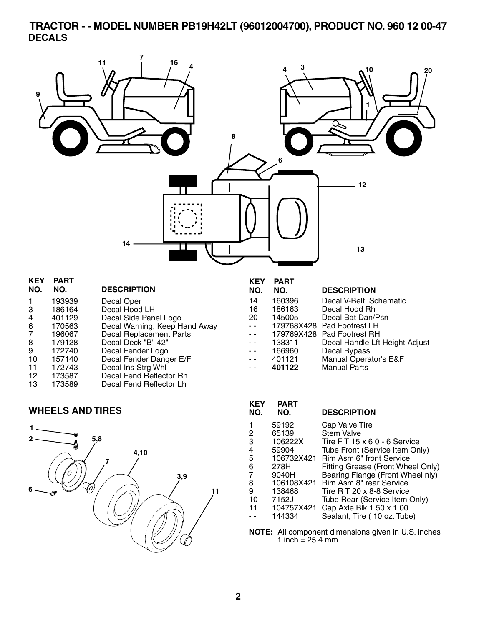### **TRACTOR - - MODEL NUMBER PB19H42LT (96012004700), PRODUCT NO. 960 12 00-47 DECALS**



| 3<br>4<br>6<br>7<br>8<br>9<br>10<br>11 | 193939<br>186164<br>401129<br>170563<br>196067<br>179128<br>172740<br>157140<br>172743 | Decal Oper<br>Decal Hood LH<br>Decal Side Panel Logo<br>Decal Warning, Keep Hand Away<br><b>Decal Replacement Parts</b><br>Decal Deck "B" 42"<br>Decal Fender Logo<br>Decal Fender Danger E/F<br>Decal Ins Strg Whl |
|----------------------------------------|----------------------------------------------------------------------------------------|---------------------------------------------------------------------------------------------------------------------------------------------------------------------------------------------------------------------|
| 12<br>13                               | 173587<br>173589                                                                       | Decal Fend Reflector Rh<br>Decal Fend Reflector Lh                                                                                                                                                                  |
|                                        |                                                                                        |                                                                                                                                                                                                                     |

#### **WHEELS AND TIRES**



| KEY<br>NO. | PART<br>NO. | <b>DESCRIPTION</b>                  |
|------------|-------------|-------------------------------------|
| 1          | 59192       | Cap Valve Tire                      |
| 2          | 65139       | <b>Stem Valve</b>                   |
| 3          | 106222X     | Tire FT 15 x 6 0 - 6 Service        |
| 4          | 59904       | Tube Front (Service Item Only)      |
| 5          |             | 106732X421 Rim Asm 6" front Service |
| 6          | 278H        | Fitting Grease (Front Wheel Only)   |
| 7          | 9040H       | Bearing Flange (Front Wheel nly)    |
| 8          | 106108X421  | Rim Asm 8" rear Service             |
| 9          | 138468      | Tire R T 20 x 8-8 Service           |
| 10         | 7152J       | Tube Rear (Service Item Only)       |
| 11         | 104757X421  | Cap Axle Blk 1 50 x 1 00            |
|            | 144334      | Sealant, Tire (10 oz. Tube)         |

Decal Bat Dan/Psn

- 138311 Decal Handle Lft Height Adjust<br>-- 166960 Decal Bypass

- - 401121 Manual Operator's E&F

16 186163 Decal Hood Rh<br>20 145005 Decal Bat Dan/I

- 179768X428 Pad Footrest LH<br>- - 179769X428 Pad Footrest RH -- 179769X428 Pad Footrest RH<br>-- 138311 Decal Handle Lft

- - 166960 Decal Bypass

- - **401122** Manual Parts

**NOTE:** All component dimensions given in U.S. inches 1 inch =  $25.4 \, \text{mm}$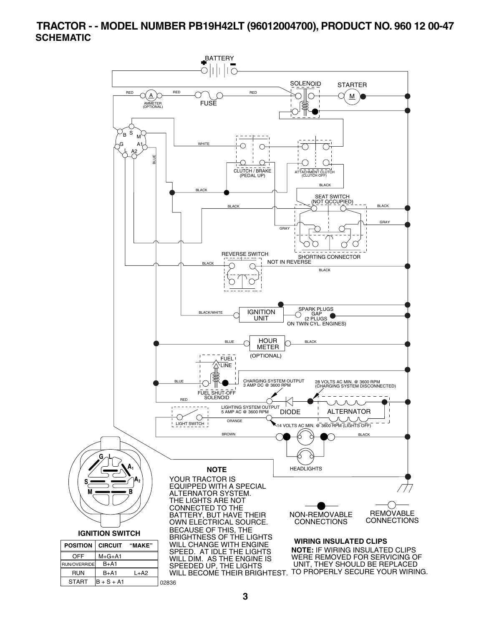### **TRACTOR - - MODEL NUMBER PB19H42LT (96012004700), PRODUCT NO. 960 12 00-47 SCHEMATIC**

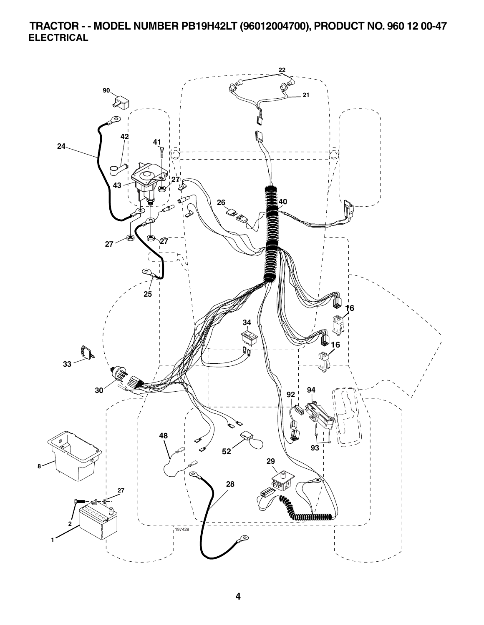**TRACTOR - - MODEL NUMBER PB19H42LT (96012004700), PRODUCT NO. 960 12 00-47 ELECTRICAL** 

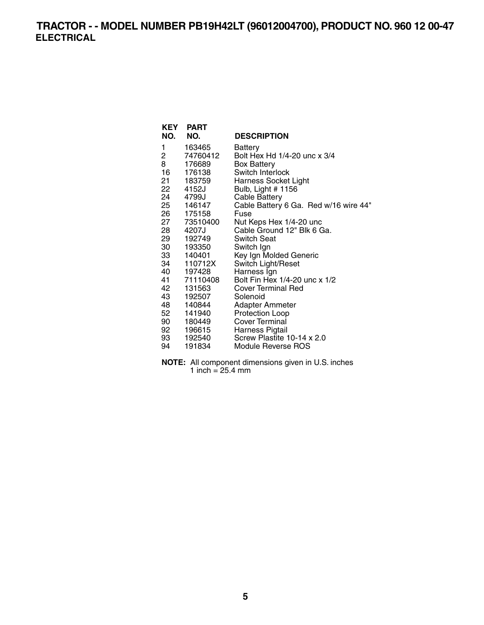# **TRACTOR - - MODEL NUMBER PB19H42LT (96012004700), PRODUCT NO. 960 12 00-47 ELECTRICAL**

| <b>KEY</b><br>NO. | <b>PART</b><br>NO. | <b>DESCRIPTION</b>                    |
|-------------------|--------------------|---------------------------------------|
| 1                 | 163465             | <b>Battery</b>                        |
| 2                 | 74760412           | Bolt Hex Hd 1/4-20 unc x 3/4          |
| 8                 | 176689             | <b>Box Battery</b>                    |
| 16                | 176138             | Switch Interlock                      |
|                   | 21 183759          | Harness Socket Light                  |
| 22                | 4152J              | Bulb, Light # 1156                    |
|                   | 24 4799J           | <b>Cable Battery</b>                  |
|                   | 25 146147          | Cable Battery 6 Ga. Red w/16 wire 44" |
| 26                | 175158             | Fuse                                  |
| 27 —              | 73510400           | Nut Keps Hex 1/4-20 unc               |
|                   | 28 4207J           | Cable Ground 12" Blk 6 Ga.            |
| 29                | 192749             | <b>Switch Seat</b>                    |
| 30                | 193350             | Switch Ign                            |
|                   | 33 140401          | Key Ign Molded Generic                |
| 34 —              | 110712X            | Switch Light/Reset                    |
|                   | 40 197428          | Harness Ign                           |
|                   | 41 71110408        | Bolt Fin Hex 1/4-20 unc x 1/2         |
| 42                | 131563             | <b>Cover Terminal Red</b>             |
| 43                | 192507             | Solenoid                              |
| 48                | 140844             | Adapter Ammeter                       |
| 52                | 141940             | Protection Loop                       |
| 90 —              | 180449             | Cover Terminal                        |
| 92                | 196615             | Harness Pigtail                       |
| 93                | 192540             | Screw Plastite 10-14 x 2.0            |
| 94                | 191834             | Module Reverse ROS                    |

**NOTE:** All component dimensions given in U.S. inches 1 inch  $= 25.4$  mm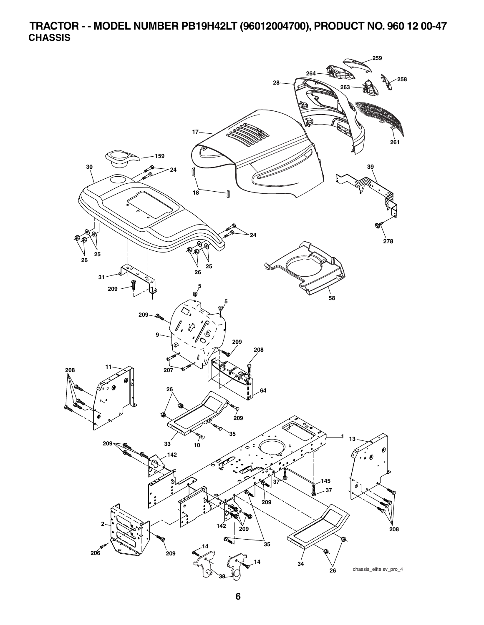**TRACTOR - - MODEL NUMBER PB19H42LT (96012004700), PRODUCT NO. 960 12 00-47 CHASSIS** 

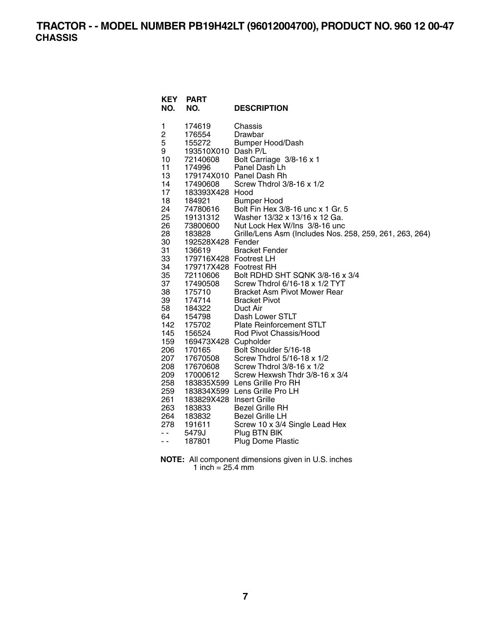**TRACTOR - - MODEL NUMBER PB19H42LT (96012004700), PRODUCT NO. 960 12 00-47 CHASSIS** 

| <b>KEY</b><br>NO. | <b>PART</b><br>NO.          | <b>DESCRIPTION</b>                                      |
|-------------------|-----------------------------|---------------------------------------------------------|
| 1                 | 174619                      | Chassis                                                 |
| 2                 | 176554                      | Drawbar                                                 |
| 5                 | 155272                      | <b>Bumper Hood/Dash</b>                                 |
| 9                 | 193510X010 Dash P/L         |                                                         |
| 10                | 72140608                    | Bolt Carriage 3/8-16 x 1                                |
| 11                | 174996                      | Panel Dash Lh                                           |
| 13                |                             | 179174X010 Panel Dash Rh                                |
| 14                | 17490608                    | Screw Thdrol 3/8-16 x 1/2                               |
| 17                | 183393X428 Hood             |                                                         |
| 18                | 184921                      | <b>Bumper Hood</b>                                      |
| 24                | 74780616                    | Bolt Fin Hex 3/8-16 unc x 1 Gr. 5                       |
| 25                | 19131312                    | Washer 13/32 x 13/16 x 12 Ga.                           |
| 26                | 73800600                    | Nut Lock Hex W/Ins 3/8-16 unc                           |
| 28                | 183828                      | Grille/Lens Asm (Includes Nos. 258, 259, 261, 263, 264) |
| 30<br>31          | 192528X428 Fender<br>136619 | <b>Bracket Fender</b>                                   |
| 33                | 179716X428 Footrest LH      |                                                         |
| 34                | 179717X428 Footrest RH      |                                                         |
| 35                | 72110606                    | Bolt RDHD SHT SQNK 3/8-16 x 3/4                         |
| 37                | 17490508                    | Screw Thdrol 6/16-18 x 1/2 TYT                          |
| 38                | 175710                      | <b>Bracket Asm Pivot Mower Rear</b>                     |
| 39                | 174714                      | <b>Bracket Pivot</b>                                    |
| 58                | 184322                      | Duct Air                                                |
| 64                | 154798                      | Dash Lower STLT                                         |
| 142               | 175702                      | <b>Plate Reinforcement STLT</b>                         |
| 145               | 156524                      | Rod Pivot Chassis/Hood                                  |
| 159               | 169473X428 Cupholder        |                                                         |
| 206               | 170165                      | Bolt Shoulder 5/16-18                                   |
| 207               | 17670508                    | Screw Thdrol 5/16-18 x 1/2                              |
| 208               | 17670608                    | Screw Thdrol 3/8-16 x 1/2                               |
| 209               | 17000612                    | Screw Hexwsh Thdr 3/8-16 x 3/4                          |
| 258               |                             | 183835X599 Lens Grille Pro RH                           |
| 259               |                             | 183834X599 Lens Grille Pro LH                           |
| 261               | 183829X428 Insert Grille    |                                                         |
| 263               | 183833                      | <b>Bezel Grille RH</b>                                  |
| 264               | 183832                      | <b>Bezel Grille LH</b>                                  |
| 278               | 191611                      | Screw 10 x 3/4 Single Lead Hex                          |
| $ -$              | 5479J                       | Plug BTN BIK                                            |
| ۰.                | 187801                      | <b>Plug Dome Plastic</b>                                |

| <b>NOTE:</b> All component dimensions given in U.S. inches |
|------------------------------------------------------------|
| 1 inch = $25.4 \text{ mm}$                                 |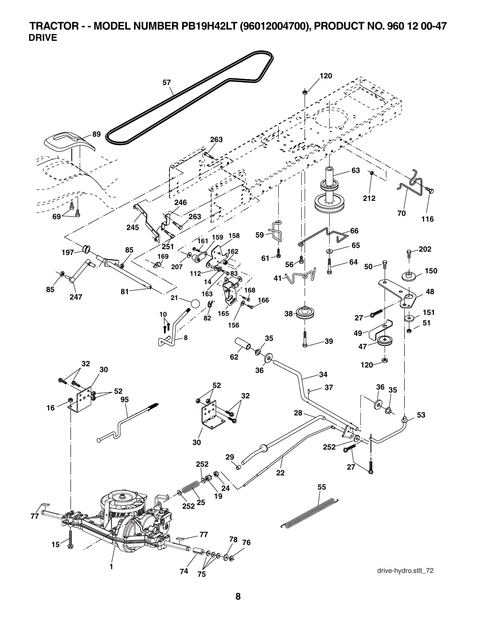**TRACTOR - - MODEL NUMBER PB19H42LT (96012004700), PRODUCT NO. 960 12 00-47 DRIVE** 

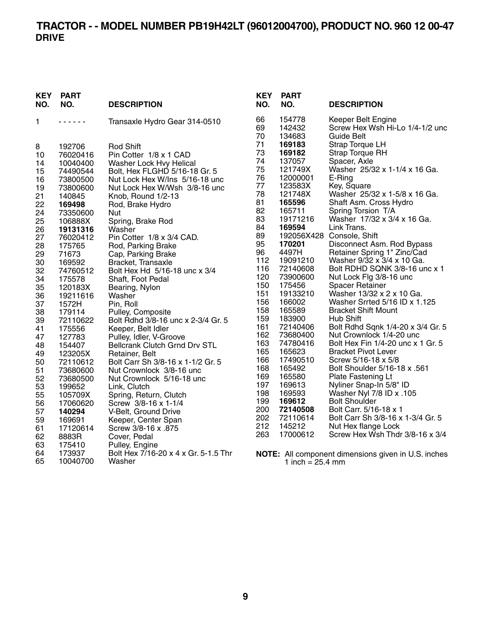### **TRACTOR - - MODEL NUMBER PB19H42LT (96012004700), PRODUCT NO. 960 12 00-47 DRIVE**

| KEY<br>NO. | PART<br>NO. | <b>DESCRIPTION</b>                   |
|------------|-------------|--------------------------------------|
| 1          |             | Transaxle Hydro Gear 314-0510        |
| 8          | 192706      | <b>Rod Shift</b>                     |
| 10         | 76020416    | Pin Cotter 1/8 x 1 CAD               |
| 14         | 10040400    | Washer Lock Hvy Helical              |
| 15         | 74490544    | Bolt, Hex FLGHD 5/16-18 Gr. 5        |
| 16         | 73800500    | Nut Lock Hex W/Ins 5/16-18 unc       |
| 19         | 73800600    | Nut Lock Hex W/Wsh 3/8-16 unc        |
| 21         | 140845      | Knob, Round 1/2-13                   |
| 22         | 169498      | Rod, Brake Hydro                     |
| 24         | 73350600    | Nut                                  |
| 25         | 106888X     | Spring, Brake Rod                    |
| 26         | 19131316    | Washer                               |
| 27         | 76020412    | Pin Cotter 1/8 x 3/4 CAD.            |
| 28         | 175765      | Rod, Parking Brake                   |
| 29         | 71673       | Cap, Parking Brake                   |
| 30         | 169592      | Bracket, Transaxle                   |
| 32         | 74760512    | Bolt Hex Hd 5/16-18 unc x 3/4        |
| 34         | 175578      | Shaft, Foot Pedal                    |
| 35         | 120183X     | Bearing, Nylon                       |
| 36         | 19211616    | Washer                               |
| 37         | 1572H       | Pin, Roll                            |
| 38         | 179114      | Pulley, Composite                    |
| 39         | 72110622    | Bolt Rdhd 3/8-16 unc x 2-3/4 Gr. 5   |
| 41         | 175556      | Keeper, Belt Idler                   |
| 47         | 127783      | Pulley, Idler, V-Groove              |
| 48         | 154407      | <b>Bellcrank Clutch Grnd Drv STL</b> |
| 49         | 123205X     | Retainer, Belt                       |
| 50         | 72110612    | Bolt Carr Sh 3/8-16 x 1-1/2 Gr. 5    |
| 51         | 73680600    | Nut Crownlock 3/8-16 unc             |
| 52         | 73680500    | Nut Crownlock 5/16-18 unc            |
| 53         | 199652      | Link, Clutch                         |
| 55         | 105709X     | Spring, Return, Clutch               |
| 56         | 17060620    | Screw 3/8-16 x 1-1/4                 |
| 57         | 140294      | V-Belt, Ground Drive                 |
| 59         | 169691      | Keeper, Center Span                  |
| 61         | 17120614    | Screw 3/8-16 x .875                  |
| 62         | 8883R       | Cover, Pedal                         |
| 63         | 175410      | Pulley, Engine                       |
| 64         | 173937      | Bolt Hex 7/16-20 x 4 x Gr. 5-1.5 Thr |
| 65         | 10040700    | Washer                               |

| <b>KEY</b><br>NO.                                                                                                                                                                                                                                            | <b>PART</b><br>NO.                                                                                                                                                                                                                                                                                                                                                                                                                 | <b>DESCRIPTION</b>                                                                                                                                                                                                                                                                                                                                                                                                                                                                                                                                                                                                                                                                                                                                                                                                                                                                                                                                                                                                                                                           |
|--------------------------------------------------------------------------------------------------------------------------------------------------------------------------------------------------------------------------------------------------------------|------------------------------------------------------------------------------------------------------------------------------------------------------------------------------------------------------------------------------------------------------------------------------------------------------------------------------------------------------------------------------------------------------------------------------------|------------------------------------------------------------------------------------------------------------------------------------------------------------------------------------------------------------------------------------------------------------------------------------------------------------------------------------------------------------------------------------------------------------------------------------------------------------------------------------------------------------------------------------------------------------------------------------------------------------------------------------------------------------------------------------------------------------------------------------------------------------------------------------------------------------------------------------------------------------------------------------------------------------------------------------------------------------------------------------------------------------------------------------------------------------------------------|
| 66<br>69<br>70<br>71<br>73<br>74<br>75<br>76<br>77<br>78<br>81<br>82<br>83<br>84<br>89<br>95<br>96<br>112<br>116<br>120<br>150<br>151<br>156<br>158<br>159<br>161<br>162<br>163<br>165<br>166<br>168<br>169<br>197<br>198<br>199<br>200<br>202<br>212<br>263 | 154778<br>142432<br>134683<br>169183<br>169182<br>137057<br>121749X<br>12000001<br>123583X<br>121748X<br>165596<br>165711<br>19171216<br>169594<br>192056X428<br>170201<br>4497H<br>19091210<br>72140608<br>73900600<br>175456<br>19133210<br>166002<br>165589<br>183900<br>72140406<br>73680400<br>74780416<br>165623<br>17490510<br>165492<br>165580<br>169613<br>169593<br>169612<br>72140508<br>72110614<br>145212<br>17000612 | Keeper Belt Engine<br>Screw Hex Wsh Hi-Lo 1/4-1/2 unc<br><b>Guide Belt</b><br>Strap Torque LH<br><b>Strap Torque RH</b><br>Spacer, Axle<br>Washer 25/32 x 1-1/4 x 16 Ga.<br>E-Ring<br>Key, Square<br>Washer 25/32 x 1-5/8 x 16 Ga.<br>Shaft Asm. Cross Hydro<br>Spring Torsion T/A<br>Washer 17/32 x 3/4 x 16 Ga.<br>Link Trans.<br>Console, Shift<br>Disconnect Asm. Rod Bypass<br>Retainer Spring 1" Zinc/Cad<br>Washer 9/32 x 3/4 x 10 Ga.<br>Bolt RDHD SQNK 3/8-16 unc x 1<br>Nut Lock Flg 3/8-16 unc<br><b>Spacer Retainer</b><br>Washer 13/32 x 2 x 10 Ga.<br>Washer Srrted 5/16 ID x 1.125<br><b>Bracket Shift Mount</b><br><b>Hub Shift</b><br>Bolt Rdhd Sqnk 1/4-20 x 3/4 Gr. 5<br>Nut Crownlock 1/4-20 unc<br>Bolt Hex Fin 1/4-20 unc x 1 Gr. 5<br><b>Bracket Pivot Lever</b><br>Screw 5/16-18 x 5/8<br>Bolt Shoulder 5/16-18 x .561<br>Plate Fastening Lt<br>Nyliner Snap-In 5/8" ID<br>105. Washer Nyl 7/8 ID x<br><b>Bolt Shoulder</b><br>Bolt Carr. 5/16-18 x 1<br>Bolt Carr Sh 3/8-16 x 1-3/4 Gr. 5<br>Nut Hex flange Lock<br>Screw Hex Wsh Thdr 3/8-16 x 3/4 |
|                                                                                                                                                                                                                                                              |                                                                                                                                                                                                                                                                                                                                                                                                                                    |                                                                                                                                                                                                                                                                                                                                                                                                                                                                                                                                                                                                                                                                                                                                                                                                                                                                                                                                                                                                                                                                              |

**NOTE:** All component dimensions given in U.S. inches 1 inch = 25.4 mm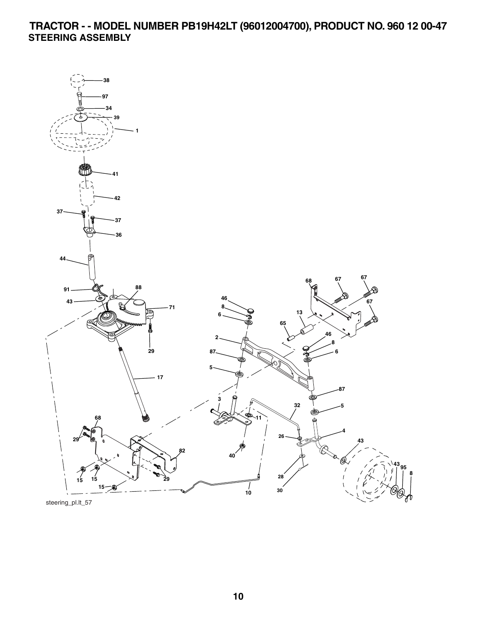**TRACTOR - - MODEL NUMBER PB19H42LT (96012004700), PRODUCT NO. 960 12 00-47 STEERING ASSEMBLY** 



steering\_pl.lt\_57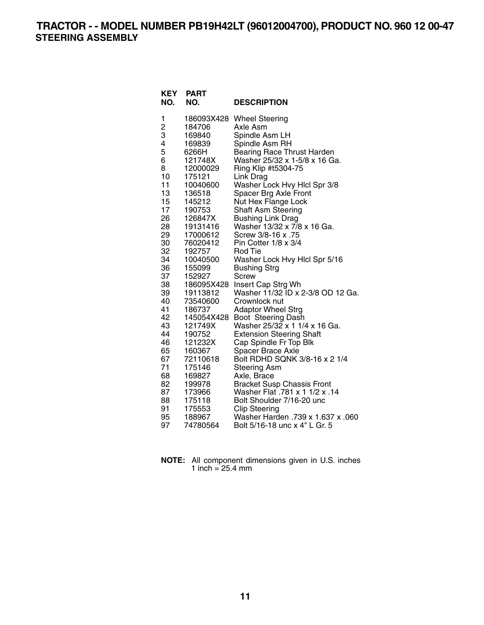**TRACTOR - - MODEL NUMBER PB19H42LT (96012004700), PRODUCT NO. 960 12 00-47 STEERING ASSEMBLY** 

| <b>KEY</b><br>NO. | <b>PART</b><br>NO.  | <b>DESCRIPTION</b>                                        |
|-------------------|---------------------|-----------------------------------------------------------|
| 1                 |                     | 186093X428 Wheel Steering                                 |
| $\overline{c}$    | 184706              | Axle Asm                                                  |
| 3                 | 169840              | Spindle Asm LH                                            |
| 4                 | 169839              | Spindle Asm RH                                            |
| 5                 | 6266H               | Bearing Race Thrust Harden                                |
| 6                 | 121748X             | Washer 25/32 x 1-5/8 x 16 Ga.                             |
| 8                 | 12000029            | Ring Klip #t5304-75                                       |
| 10                | 175121              | Link Drag                                                 |
| 11                | 10040600            | Washer Lock Hvy Hlcl Spr 3/8                              |
| 13                | 136518              | Spacer Brg Axle Front                                     |
| 15                | 145212              | Nut Hex Flange Lock                                       |
| 17<br>26          | 190753              | Shaft Asm Steering                                        |
| 28                | 126847X<br>19131416 | <b>Bushing Link Drag</b><br>Washer 13/32 x 7/8 x 16 Ga.   |
| 29                | 17000612            | Screw 3/8-16 x .75                                        |
| 30                | 76020412            | Pin Cotter 1/8 x 3/4                                      |
| 32                | 192757              | Rod Tie                                                   |
| 34                | 10040500            | Washer Lock Hvy Hlcl Spr 5/16                             |
| 36                | 155099              | <b>Bushing Strg</b>                                       |
| 37                | 152927              | <b>Screw</b>                                              |
| 38                | 186095X428          | Insert Cap Strg Wh                                        |
| 39                | 19113812            | Washer 11/32 ID x 2-3/8 OD 12 Ga.                         |
| 40                | 73540600            | Crownlock nut                                             |
| 41                | 186737              | <b>Adaptor Wheel Strg</b>                                 |
| 42                | 145054X428          | Boot Steering Dash                                        |
| 43                | 121749X             | Washer 25/32 x 1 1/4 x 16 Ga.                             |
| 44                | 190752              | <b>Extension Steering Shaft</b>                           |
| 46                | 121232X             | Cap Spindle Fr Top Blk                                    |
| 65                | 160367              | Spacer Brace Axle                                         |
| 67                | 72110618            | Bolt RDHD SQNK 3/8-16 x 2 1/4                             |
| 71                | 175146              | <b>Steering Asm</b>                                       |
| 68                | 169827              | Axle, Brace                                               |
| 82                | 199978              | <b>Bracket Susp Chassis Front</b>                         |
| 87                | 173966              | Washer Flat .781 x 1 1/2 x .14                            |
| 88<br>91          | 175118<br>175553    | Bolt Shoulder 7/16-20 unc                                 |
| 95                | 188967              | <b>Clip Steering</b><br>Washer Harden .739 x 1.637 x .060 |
| 97                | 74780564            | Bolt 5/16-18 unc x 4" L Gr. 5                             |
|                   |                     |                                                           |

| NOTE: All component dimensions given in U.S. inches |  |  |
|-----------------------------------------------------|--|--|
| 1 inch = $25.4 \text{ mm}$                          |  |  |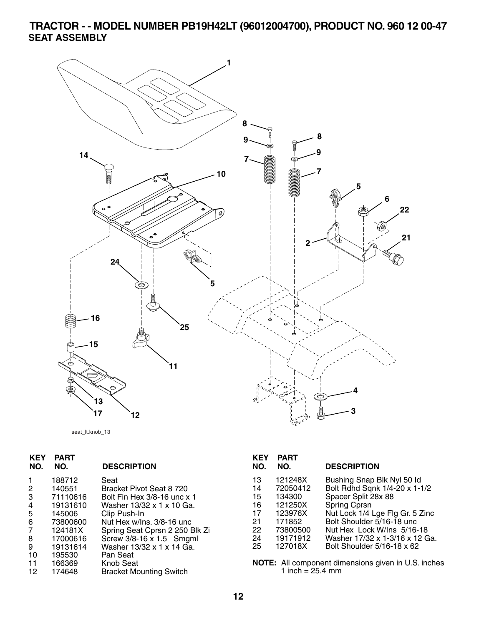**TRACTOR - - MODEL NUMBER PB19H42LT (96012004700), PRODUCT NO. 960 12 00-47 SEAT ASSEMBLY** 



```
seat_lt.knob_13
```

| <b>PART</b><br>NO. | <b>DESCRIPTION</b>             | <b>KEY</b><br>NO.        | <b>PART</b><br>NO. | <b>DESCRIPTION</b>                                  |
|--------------------|--------------------------------|--------------------------|--------------------|-----------------------------------------------------|
| 188712             | Seat                           | 13                       | 121248X            | Bushing Snap Blk Nyl 50 ld                          |
| 140551             | Bracket Pivot Seat 8 720       | 14                       | 72050412           | Bolt Rdhd Sqnk 1/4-20 x 1-1/2                       |
| 71110616           | Bolt Fin Hex 3/8-16 unc x 1    | 15                       | 134300             | Spacer Split 28x 88                                 |
| 19131610           | Washer 13/32 x 1 x 10 Ga.      | 16                       | 121250X            | Spring Cprsn                                        |
| 145006             | Clip Push-In                   | 17                       | 123976X            | Nut Lock 1/4 Lge Flg Gr. 5 Zinc                     |
| 73800600           | Nut Hex w/Ins. 3/8-16 unc      | 21                       | 171852             | Bolt Shoulder 5/16-18 unc                           |
| 124181X            | Spring Seat Cprsn 2 250 Blk Zi | 22                       | 73800500           | Nut Hex Lock W/Ins 5/16-18                          |
| 17000616           |                                | 24                       | 19171912           | Washer 17/32 x 1-3/16 x 12 Ga.                      |
| 19131614           | Washer 13/32 x 1 x 14 Ga.      | 25                       | 127018X            | Bolt Shoulder 5/16-18 x 62                          |
| 195530             | Pan Seat                       |                          |                    |                                                     |
| 166369             | Knob Seat                      |                          |                    | NOTE: All component dimensions given in U.S. inches |
| 174648             | <b>Bracket Mounting Switch</b> |                          |                    |                                                     |
|                    |                                | Screw 3/8-16 x 1.5 Smgml |                    | 1 inch = $25.4$ mm                                  |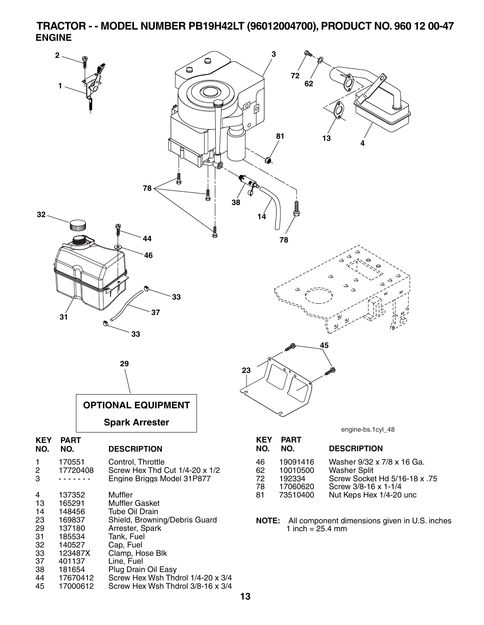**TRACTOR - - MODEL NUMBER PB19H42LT (96012004700), PRODUCT NO. 960 12 00-47 ENGINE** 



38 181654 Plug Drain Oil Easy<br>44 17670412 Screw Hex Wsh Tho

44 17670412 Screw Hex Wsh Thdrol 1/4-20 x 3/4

Screw Hex Wsh Thdrol 3/8-16 x 3/4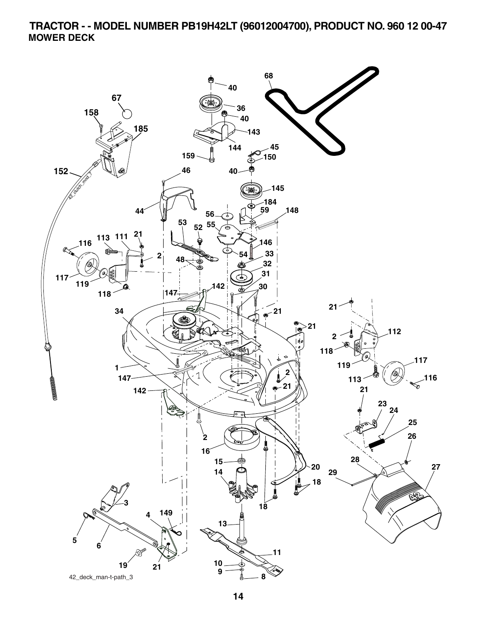**TRACTOR - - MODEL NUMBER PB19H42LT (96012004700), PRODUCT NO. 960 12 00-47 MOWER DECK** 

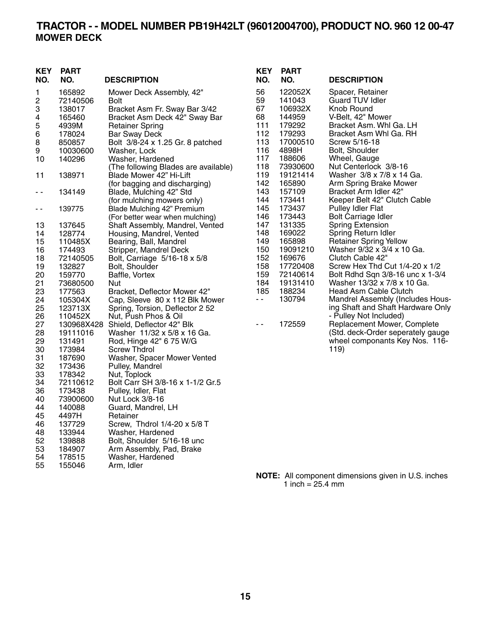# **TRACTOR - - MODEL NUMBER PB19H42LT (96012004700), PRODUCT NO. 960 12 00-47 MOWER DECK**

| <b>KEY</b><br>NO. | <b>PART</b><br>NO. | <b>DESCRIPTION</b>                   | <b>KEY</b><br>NO. | <b>PART</b><br>NO. | <b>DESCRIPTION</b>                                 |
|-------------------|--------------------|--------------------------------------|-------------------|--------------------|----------------------------------------------------|
| 1                 | 165892             | Mower Deck Assembly, 42"             | 56                | 122052X            | Spacer, Retainer                                   |
| 2                 | 72140506           | <b>Bolt</b>                          | 59                | 141043             | Guard TUV Idler                                    |
| 3                 | 138017             | Bracket Asm Fr. Sway Bar 3/42        | 67                | 106932X            | Knob Round                                         |
| 4                 | 165460             | Bracket Asm Deck 42" Sway Bar        | 68                | 144959             | V-Belt, 42" Mower                                  |
| 5                 | 4939M              | <b>Retainer Spring</b>               | 111               | 179292             | Bracket Asm. Whl Ga. LH                            |
| 6                 | 178024             | <b>Bar Sway Deck</b>                 | 112               | 179293             | Bracket Asm Whl Ga. RH                             |
| 8                 | 850857             | Bolt 3/8-24 x 1.25 Gr. 8 patched     | 113               | 17000510           | Screw 5/16-18                                      |
| 9                 | 10030600           | Washer, Lock                         | 116               | 4898H              | Bolt, Shoulder                                     |
| 10                | 140296             | Washer, Hardened                     | 117               | 188606             | Wheel, Gauge                                       |
|                   |                    | (The following Blades are available) | 118               | 73930600           | Nut Centerlock 3/8-16                              |
| 11                | 138971             | Blade Mower 42" Hi-Lift              | 119               | 19121414           | Washer 3/8 x 7/8 x 14 Ga.                          |
|                   |                    | (for bagging and discharging)        | 142               | 165890             | Arm Spring Brake Mower                             |
| - -               | 134149             | Blade, Mulching 42" Std              | 143               | 157109             | Bracket Arm Idler 42"                              |
|                   |                    | (for mulching mowers only)           | 144               | 173441             | Keeper Belt 42" Clutch Cable                       |
| $ -$              | 139775             | Blade Mulching 42" Premium           | 145               | 173437             | <b>Pulley Idler Flat</b>                           |
|                   |                    | (For better wear when mulching)      | 146               | 173443             | <b>Bolt Carriage Idler</b>                         |
| 13                | 137645             | Shaft Assembly, Mandrel, Vented      | 147               | 131335             | <b>Spring Extension</b>                            |
| 14                | 128774             | Housing, Mandrel, Vented             | 148               | 169022             | Spring Return Idler                                |
| 15                | 110485X            | Bearing, Ball, Mandrel               | 149               | 165898             | <b>Retainer Spring Yellow</b>                      |
| 16                | 174493             | Stripper, Mandrel Deck               | 150<br>152        | 19091210<br>169676 | Washer 9/32 x 3/4 x 10 Ga.                         |
| 18                | 72140505           | Bolt, Carriage 5/16-18 x 5/8         | 158               | 17720408           | Clutch Cable 42"<br>Screw Hex Thd Cut 1/4-20 x 1/2 |
| 19<br>20          | 132827             | Bolt, Shoulder                       | 159               | 72140614           | Bolt Rdhd Sqn 3/8-16 unc x 1-3/4                   |
| 21                | 159770<br>73680500 | Baffle, Vortex<br>Nut                | 184               | 19131410           | Washer 13/32 x 7/8 x 10 Ga.                        |
| 23                | 177563             | Bracket, Deflector Mower 42"         | 185               | 188234             | Head Asm Cable Clutch                              |
| 24                | 105304X            | Cap, Sleeve 80 x 112 Blk Mower       | $\sim$            | 130794             | Mandrel Assembly (Includes Hous-                   |
| 25                | 123713X            | Spring, Torsion, Deflector 2 52      |                   |                    | ing Shaft and Shaft Hardware Only                  |
| 26                | 110452X            | Nut, Push Phos & Oil                 |                   |                    | - Pulley Not Included)                             |
| 27                |                    | 130968X428 Shield, Deflector 42" Blk | $\sim$ $\sim$     | 172559             | Replacement Mower, Complete                        |
| 28                | 19111016           | Washer 11/32 x 5/8 x 16 Ga.          |                   |                    | (Std. deck-Order seperately gauge                  |
| 29                | 131491             | Rod, Hinge 42" 6 75 W/G              |                   |                    | wheel componants Key Nos. 116-                     |
| 30                | 173984             | <b>Screw Thdrol</b>                  |                   |                    | 119)                                               |
| 31                | 187690             | Washer, Spacer Mower Vented          |                   |                    |                                                    |
| 32                | 173436             | Pulley, Mandrel                      |                   |                    |                                                    |
| 33                | 178342             | Nut, Toplock                         |                   |                    |                                                    |
| 34                | 72110612           | Bolt Carr SH 3/8-16 x 1-1/2 Gr.5     |                   |                    |                                                    |
| 36                | 173438             | Pulley, Idler, Flat                  |                   |                    |                                                    |
| 40                | 73900600           | Nut Lock 3/8-16                      |                   |                    |                                                    |
| 44                | 140088             | Guard, Mandrel, LH                   |                   |                    |                                                    |
| 45                | 4497H              | Retainer                             |                   |                    |                                                    |
| 46                | 137729             | Screw, Thdrol 1/4-20 x 5/8 T         |                   |                    |                                                    |
| 48                | 133944             | Washer, Hardened                     |                   |                    |                                                    |
| 52                | 139888             | Bolt, Shoulder 5/16-18 unc           |                   |                    |                                                    |
| 53                | 184907             | Arm Assembly, Pad, Brake             |                   |                    |                                                    |
| 54                | 178515             | Washer, Hardened                     |                   |                    |                                                    |
| 55                | 155046             | Arm, Idler                           |                   |                    |                                                    |

**NOTE:** All component dimensions given in U.S. inches 1 inch = 25.4 mm